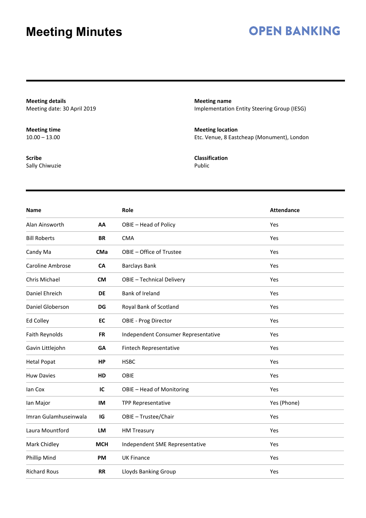### **OPEN BANKING**

**Meeting details** Meeting date: 30 April 2019

**Meeting time**  $10.00 - 13.00$ 

**Scribe** Sally Chiwuzie **Meeting name** Implementation Entity Steering Group (IESG)

**Meeting location** Etc. Venue, 8 Eastcheap (Monument), London

**Classification** Public

| <b>Name</b>             |            | Role                                | <b>Attendance</b> |
|-------------------------|------------|-------------------------------------|-------------------|
| Alan Ainsworth          | AA         | OBIE - Head of Policy               | Yes               |
| <b>Bill Roberts</b>     | <b>BR</b>  | <b>CMA</b>                          | Yes               |
| Candy Ma                | <b>CMa</b> | OBIE - Office of Trustee            | Yes               |
| <b>Caroline Ambrose</b> | CA         | <b>Barclays Bank</b>                | Yes               |
| Chris Michael           | <b>CM</b>  | OBIE - Technical Delivery           | Yes               |
| Daniel Ehreich          | <b>DE</b>  | Bank of Ireland                     | Yes               |
| Daniel Globerson        | DG         | Royal Bank of Scotland              | Yes               |
| Ed Colley               | EC         | OBIE - Prog Director                | Yes               |
| Faith Reynolds          | <b>FR</b>  | Independent Consumer Representative | Yes               |
| Gavin Littlejohn        | <b>GA</b>  | Fintech Representative              | Yes               |
| <b>Hetal Popat</b>      | HP         | <b>HSBC</b>                         | Yes               |
| <b>Huw Davies</b>       | HD         | OBIE                                | Yes               |
| lan Cox                 | IC         | OBIE - Head of Monitoring           | Yes               |
| Ian Major               | IM         | TPP Representative                  | Yes (Phone)       |
| Imran Gulamhuseinwala   | IG         | OBIE - Trustee/Chair                | Yes               |
| Laura Mountford         | LM         | <b>HM Treasury</b>                  | Yes               |
| Mark Chidley            | <b>MCH</b> | Independent SME Representative      | Yes               |
| Phillip Mind            | <b>PM</b>  | <b>UK Finance</b>                   | Yes               |
| <b>Richard Rous</b>     | <b>RR</b>  | <b>Lloyds Banking Group</b>         | Yes               |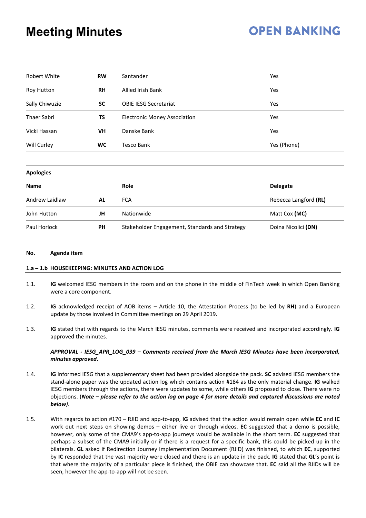### **OPEN BANKING**

| Robert White   | <b>RW</b> | Santander                           | Yes         |
|----------------|-----------|-------------------------------------|-------------|
| Roy Hutton     | <b>RH</b> | Allied Irish Bank                   | Yes         |
| Sally Chiwuzie | <b>SC</b> | <b>OBIE IESG Secretariat</b>        | <b>Yes</b>  |
| Thaer Sabri    | TS        | <b>Electronic Money Association</b> | Yes         |
| Vicki Hassan   | VH        | Danske Bank                         | <b>Yes</b>  |
| Will Curley    | <b>WC</b> | Tesco Bank                          | Yes (Phone) |
|                |           |                                     |             |

| <b>Apologies</b> |           |                                                |                       |  |  |
|------------------|-----------|------------------------------------------------|-----------------------|--|--|
| <b>Name</b>      |           | <b>Role</b>                                    | <b>Delegate</b>       |  |  |
| Andrew Laidlaw   | AL        | <b>FCA</b>                                     | Rebecca Langford (RL) |  |  |
| John Hutton      | JH        | Nationwide                                     | Matt Cox (MC)         |  |  |
| Paul Horlock     | <b>PH</b> | Stakeholder Engagement, Standards and Strategy | Doina Nicolici (DN)   |  |  |

#### **No. Agenda item**

### **1.a – 1.b HOUSEKEEPING: MINUTES AND ACTION LOG**

- 1.1. **IG** welcomed IESG members in the room and on the phone in the middle of FinTech week in which Open Banking were a core component.
- 1.2. **IG** acknowledged receipt of AOB items Article 10, the Attestation Process (to be led by **RH**) and a European update by those involved in Committee meetings on 29 April 2019.
- 1.3. **IG** stated that with regards to the March IESG minutes, comments were received and incorporated accordingly. **IG** approved the minutes.

### *APPROVAL - IESG\_APR\_LOG\_039 – Comments received from the March IESG Minutes have been incorporated, minutes approved***.**

- 1.4. **IG** informed IESG that a supplementary sheet had been provided alongside the pack. **SC** advised IESG members the stand-alone paper was the updated action log which contains action #184 as the only material change. **IG** walked IESG members through the actions, there were updates to some, while others **IG** proposed to close. There were no objections. (*Note – please refer to the action log on page 4 for more details and captured discussions are noted below).*
- 1.5. With regards to action #170 RJID and app-to-app, **IG** advised that the action would remain open while **EC** and **IC** work out next steps on showing demos – either live or through videos. **EC** suggested that a demo is possible, however, only some of the CMA9's app-to-app journeys would be available in the short term. **EC** suggested that perhaps a subset of the CMA9 initially or if there is a request for a specific bank, this could be picked up in the bilaterals. **GL** asked if Redirection Journey Implementation Document (RJID) was finished, to which **EC**, supported by **IC** responded that the vast majority were closed and there is an update in the pack. **IG** stated that **GL**'s point is that where the majority of a particular piece is finished, the OBIE can showcase that. **EC** said all the RJIDs will be seen, however the app-to-app will not be seen.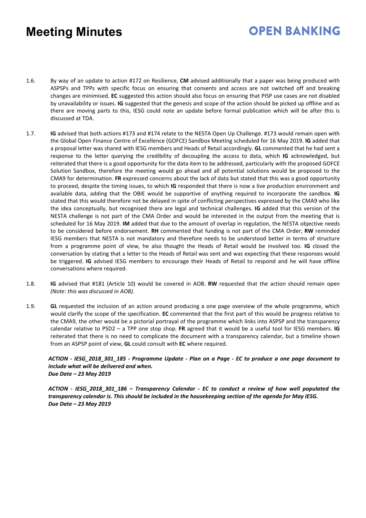## **OPEN BANKING**

- 1.6. By way of an update to action #172 on Resilience, **CM** advised additionally that a paper was being produced with ASPSPs and TPPs with specific focus on ensuring that consents and access are not switched off and breaking changes are minimised. **EC** suggested this action should also focus on ensuring that PISP use cases are not disabled by unavailability or issues. **IG** suggested that the genesis and scope of the action should be picked up offline and as there are moving parts to this, IESG could note an update before formal publication which will be after this is discussed at TDA.
- 1.7. **IG** advised that both actions #173 and #174 relate to the NESTA Open Up Challenge. #173 would remain open with the Global Open Finance Centre of Excellence (GOFCE) Sandbox Meeting scheduled for 16 May 2019. **IG** added that a proposal letter was shared with IESG members and Heads of Retail accordingly. **GL** commented that he had sent a response to the letter querying the credibility of decoupling the access to data, which **IG** acknowledged, but reiterated that there is a good opportunity for the data item to be addressed, particularly with the proposed GOFCE Solution Sandbox, therefore the meeting would go ahead and all potential solutions would be proposed to the CMA9 for determination. **FR** expressed concerns about the lack of data but stated that this was a good opportunity to proceed, despite the timing issues, to which **IG** responded that there is now a live production environment and available data, adding that the OBIE would be supportive of anything required to incorporate the sandbox. **IG** stated that this would therefore not be delayed in spite of conflicting perspectives expressed by the CMA9 who like the idea conceptually, but recognised there are legal and technical challenges. **IG** added that this version of the NESTA challenge is not part of the CMA Order and would be interested in the output from the meeting that is scheduled for 16 May 2019. **IM** added that due to the amount of overlap in regulation, the NESTA objective needs to be considered before endorsement. **RH** commented that funding is not part of the CMA Order; **RW** reminded IESG members that NESTA is not mandatory and therefore needs to be understood better in terms of structure from a programme point of view, he also thought the Heads of Retail would be involved too. **IG** closed the conversation by stating that a letter to the Heads of Retail was sent and was expecting that these responses would be triggered. **IG** advised IESG members to encourage their Heads of Retail to respond and he will have offline conversations where required.
- 1.8. **IG** advised that #181 (Article 10) would be covered in AOB. **RW** requested that the action should remain open *(Note: this was discussed in AOB)*.
- 1.9. **GL** requested the inclusion of an action around producing a one page overview of the whole programme, which would clarify the scope of the specification. **EC** commented that the first part of this would be progress relative to the CMA9, the other would be a pictorial portrayal of the programme which links into ASPSP and the transparency calendar relative to PSD2 – a TPP one stop shop. **FR** agreed that it would be a useful tool for IESG members. **IG** reiterated that there is no need to complicate the document with a transparency calendar, but a timeline shown from an ASPSP point of view, **GL** could consult with **EC** where required.

*ACTION - IESG\_2018\_301\_185 - Programme Update - Plan on a Page - EC to produce a one page document to include what will be delivered and when. Due Date – 23 May 2019* 

*ACTION - IESG\_2018\_301\_186 – Transparency Calendar - EC to conduct a review of how well populated the transparency calendar is. This should be included in the housekeeping section of the agenda for May IESG. Due Date – 23 May 2019*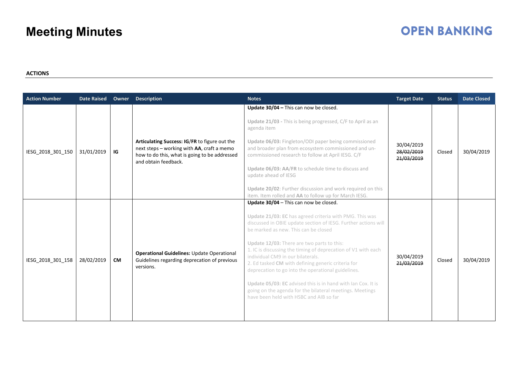## **OPEN BANKING**

### **ACTIONS**

| <b>Action Number</b> | <b>Date Raised</b> | Owner     | <b>Description</b>                                                                                                                                                   | <b>Notes</b>                                                                                                                                                                                                                                                                                                                                                                                                                                                                                                                                                                                                                                       | <b>Target Date</b>                     | <b>Status</b> | <b>Date Closed</b> |
|----------------------|--------------------|-----------|----------------------------------------------------------------------------------------------------------------------------------------------------------------------|----------------------------------------------------------------------------------------------------------------------------------------------------------------------------------------------------------------------------------------------------------------------------------------------------------------------------------------------------------------------------------------------------------------------------------------------------------------------------------------------------------------------------------------------------------------------------------------------------------------------------------------------------|----------------------------------------|---------------|--------------------|
| IESG_2018_301_150    | 31/01/2019         | IG        | Articulating Success: IG/FR to figure out the<br>next steps - working with AA, craft a memo<br>how to do this, what is going to be addressed<br>and obtain feedback. | Update 30/04 - This can now be closed.<br>Update 21/03 - This is being progressed, C/F to April as an<br>agenda item<br>Update 06/03: Fingleton/ODI paper being commissioned<br>and broader plan from ecosystem commissioned and un-<br>commissioned research to follow at April IESG. C/F<br>Update 06/03: AA/FR to schedule time to discuss and<br>update ahead of IESG<br>Update 20/02: Further discussion and work required on this<br>item. Item rolled and AA to follow up for March IESG.                                                                                                                                                   | 30/04/2019<br>28/02/2019<br>21/03/2019 | Closed        | 30/04/2019         |
| IESG_2018_301_158    | 28/02/2019         | <b>CM</b> | Operational Guidelines: Update Operational<br>Guidelines regarding deprecation of previous<br>versions.                                                              | Update 30/04 - This can now be closed.<br>Update 21/03: EC has agreed criteria with PMG. This was<br>discussed in OBIE update section of IESG. Further actions will<br>be marked as new. This can be closed<br>Update 12/03: There are two parts to this:<br>1. IC is discussing the timing of deprecation of V1 with each<br>individual CM9 in our bilaterals.<br>2. Ed tasked CM with defining generic criteria for<br>deprecation to go into the operational guidelines.<br>Update 05/03: EC advised this is in hand with Ian Cox. It is<br>going on the agenda for the bilateral meetings. Meetings<br>have been held with HSBC and AIB so far | 30/04/2019<br>21/03/2019               | Closed        | 30/04/2019         |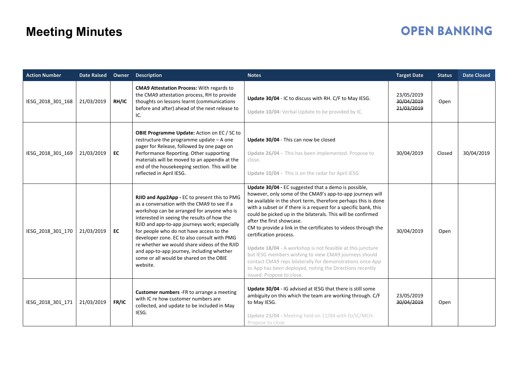## **OPEN BANKING**

| <b>Action Number</b> | <b>Date Raised</b> | Owner | <b>Description</b>                                                                                                                                                                                                                                                                                                                                                                                                                                                                       | <b>Notes</b>                                                                                                                                                                                                                                                                                                                                                                                                                                                                                                                                                                                                                                                                                                                  | <b>Target Date</b>                     | <b>Status</b> | <b>Date Closed</b> |
|----------------------|--------------------|-------|------------------------------------------------------------------------------------------------------------------------------------------------------------------------------------------------------------------------------------------------------------------------------------------------------------------------------------------------------------------------------------------------------------------------------------------------------------------------------------------|-------------------------------------------------------------------------------------------------------------------------------------------------------------------------------------------------------------------------------------------------------------------------------------------------------------------------------------------------------------------------------------------------------------------------------------------------------------------------------------------------------------------------------------------------------------------------------------------------------------------------------------------------------------------------------------------------------------------------------|----------------------------------------|---------------|--------------------|
| IESG_2018_301_168    | 21/03/2019         | RH/IC | <b>CMA9 Attestation Process: With regards to</b><br>the CMA9 attestation process, RH to provide<br>thoughts on lessons learnt (communications<br>before and after) ahead of the next release to<br>IC.                                                                                                                                                                                                                                                                                   | Update 30/04 - IC to discuss with RH. C/F to May IESG.<br>Update 10/04: Verbal Update to be provided by IC.                                                                                                                                                                                                                                                                                                                                                                                                                                                                                                                                                                                                                   | 23/05/2019<br>30/04/2019<br>21/03/2019 | Open          |                    |
| IESG_2018_301_169    | 21/03/2019         | EC    | OBIE Programme Update: Action on EC / SC to<br>restructure the programme update - A one<br>pager for Release, followed by one page on<br>Performance Reporting. Other supporting<br>materials will be moved to an appendix at the<br>end of the housekeeping section. This will be<br>reflected in April IESG.                                                                                                                                                                           | Update 30/04 - This can now be closed<br>Update 26/04 - This has been implemented. Propose to<br>close.<br>Update 10/04 - This is on the radar for April IESG                                                                                                                                                                                                                                                                                                                                                                                                                                                                                                                                                                 | 30/04/2019                             | Closed        | 30/04/2019         |
| IESG_2018_301_170    | 21/03/2019         | EC    | RJID and App2App - EC to present this to PMG<br>as a conversation with the CMA9 to see if a<br>workshop can be arranged for anyone who is<br>interested in seeing the results of how the<br>RJID and app-to-app journeys work; especially<br>for people who do not have access to the<br>developer zone. EC to also consult with PMG<br>re whether we would share videos of the RJID<br>and app-to-app journey, including whether<br>some or all would be shared on the OBIE<br>website. | Update 30/04 - EC suggested that a demo is possible,<br>however, only some of the CMA9's app-to-app journeys will<br>be available in the short term, therefore perhaps this is done<br>with a subset or if there is a request for a specific bank, this<br>could be picked up in the bilaterals. This will be confirmed<br>after the first showcase.<br>CM to provide a link in the certificates to videos through the<br>certification process.<br>Update 18/04 - A workshop is not feasible at this juncture<br>but IESG members wishing to view CMA9 journeys should<br>contact CMA9 reps bilaterally for demonstrations once App<br>to App has been deployed, noting the Directions recently<br>issued. Propose to close. | 30/04/2019                             | Open          |                    |
| IESG_2018_301_171    | 21/03/2019         | FR/IC | <b>Customer numbers</b> - FR to arrange a meeting<br>with IC re how customer numbers are<br>collected, and update to be included in May<br>IESG.                                                                                                                                                                                                                                                                                                                                         | Update 30/04 - IG advised at IESG that there is still some<br>ambiguity on this which the team are working through. C/F<br>to May IESG.<br>Update 23/04 - Meeting held on 11/04 with DJ/IC/MCH.<br>Propose to close                                                                                                                                                                                                                                                                                                                                                                                                                                                                                                           | 23/05/2019<br>30/04/2019               | Open          |                    |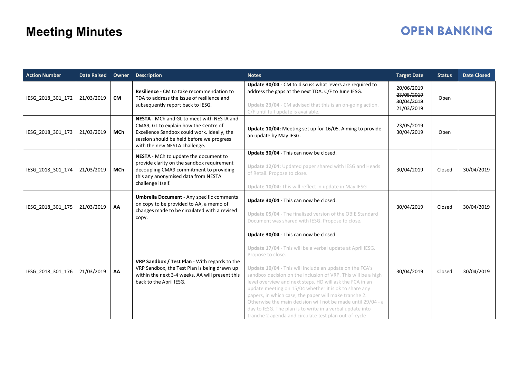## **OPEN BANKING**

| <b>Action Number</b> | <b>Date Raised</b> | Owner     | <b>Description</b>                                                                                                                                                                                              | <b>Notes</b>                                                                                                                                                                                                                                                                                                                                                                                                                                                                                                                                                                                                              | <b>Target Date</b>                                   | <b>Status</b> | <b>Date Closed</b> |
|----------------------|--------------------|-----------|-----------------------------------------------------------------------------------------------------------------------------------------------------------------------------------------------------------------|---------------------------------------------------------------------------------------------------------------------------------------------------------------------------------------------------------------------------------------------------------------------------------------------------------------------------------------------------------------------------------------------------------------------------------------------------------------------------------------------------------------------------------------------------------------------------------------------------------------------------|------------------------------------------------------|---------------|--------------------|
| IESG_2018_301_172    | 21/03/2019         | <b>CM</b> | <b>Resilience</b> - CM to take recommendation to<br>TDA to address the issue of resilience and<br>subsequently report back to IESG.                                                                             | Update 30/04 - CM to discuss what levers are required to<br>address the gaps at the next TDA. C/F to June IESG.<br>Update 23/04 - CM advised that this is an on-going action.<br>C/F until full update is available.                                                                                                                                                                                                                                                                                                                                                                                                      | 20/06/2019<br>23/05/2019<br>30/04/2019<br>21/03/2019 | Open          |                    |
| IESG_2018_301_173    | 21/03/2019         | MCh       | NESTA - MCh and GL to meet with NESTA and<br>CMA9, GL to explain how the Centre of<br>Excellence Sandbox could work. Ideally, the<br>session should be held before we progress<br>with the new NESTA challenge. | Update 10/04: Meeting set up for 16/05. Aiming to provide<br>an update by May IESG.                                                                                                                                                                                                                                                                                                                                                                                                                                                                                                                                       | 23/05/2019<br>30/04/2019                             | Open          |                    |
| IESG_2018_301_174    | 21/03/2019         | MCh       | NESTA - MCh to update the document to<br>provide clarity on the sandbox requirement<br>decoupling CMA9 commitment to providing<br>this any anonymised data from NESTA<br>challenge itself.                      | Update 30/04 - This can now be closed.<br>Update 12/04: Updated paper shared with IESG and Heads<br>of Retail. Propose to close.<br>Update 10/04: This will reflect in update in May IESG                                                                                                                                                                                                                                                                                                                                                                                                                                 | 30/04/2019                                           | Closed        | 30/04/2019         |
| IESG_2018_301_175    | 21/03/2019         | AA        | <b>Umbrella Document - Any specific comments</b><br>on copy to be provided to AA, a memo of<br>changes made to be circulated with a revised<br>copy.                                                            | Update 30/04 - This can now be closed.<br>Update 05/04 - The finalised version of the OBIE Standard<br>Document was shared with IESG. Propose to close.                                                                                                                                                                                                                                                                                                                                                                                                                                                                   | 30/04/2019                                           | Closed        | 30/04/2019         |
| IESG_2018_301_176    | 21/03/2019         | AA        | VRP Sandbox / Test Plan - With regards to the<br>VRP Sandbox, the Test Plan is being drawn up<br>within the next 3-4 weeks. AA will present this<br>back to the April IESG.                                     | Update 30/04 - This can now be closed.<br>Update 17/04 - This will be a verbal update at April IESG.<br>Propose to close.<br>Update 10/04 - This will include an update on the FCA's<br>sandbox decision on the inclusion of VRP. This will be a high<br>level overview and next steps. HD will ask the FCA in an<br>update meeting on 15/04 whether it is ok to share any<br>papers, in which case, the paper will make tranche 2.<br>Otherwise the main decision will not be made until 29/04 - a<br>day to IESG. The plan is to write in a verbal update into<br>tranche 2 agenda and circulate test plan out-of-cycle | 30/04/2019                                           | Closed        | 30/04/2019         |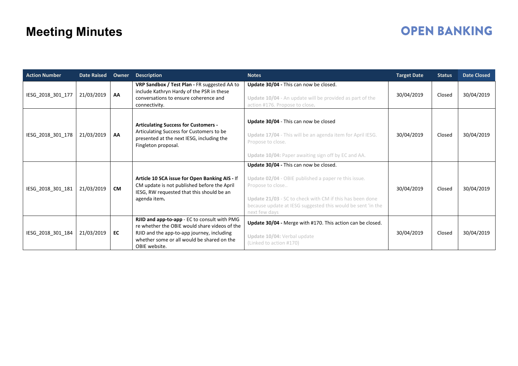## **OPEN BANKING**

| <b>Action Number</b> | <b>Date Raised</b> | Owner     | <b>Description</b>                                                                                                                                                                                         | <b>Notes</b>                                                                                                                                                                                                                                                   | <b>Target Date</b> | <b>Status</b> | <b>Date Closed</b> |
|----------------------|--------------------|-----------|------------------------------------------------------------------------------------------------------------------------------------------------------------------------------------------------------------|----------------------------------------------------------------------------------------------------------------------------------------------------------------------------------------------------------------------------------------------------------------|--------------------|---------------|--------------------|
| IESG_2018_301_177    | 21/03/2019         | AA        | VRP Sandbox / Test Plan - FR suggested AA to<br>include Kathryn Hardy of the PSR in these<br>conversations to ensure coherence and<br>connectivity.                                                        | Update 30/04 - This can now be closed.<br>Update 10/04 - An update will be provided as part of the<br>action #176. Propose to close.                                                                                                                           | 30/04/2019         | Closed        | 30/04/2019         |
| IESG_2018_301_178    | 21/03/2019         | AA        | <b>Articulating Success for Customers -</b><br>Articulating Success for Customers to be<br>presented at the next IESG, including the<br>Fingleton proposal.                                                | Update 30/04 - This can now be closed<br>Update 17/04 - This will be an agenda item for April IESG.<br>Propose to close.<br>Update 10/04: Paper awaiting sign off by EC and AA.                                                                                | 30/04/2019         | Closed        | 30/04/2019         |
| IESG 2018 301 181    | 21/03/2019         | <b>CM</b> | Article 10 SCA issue for Open Banking AIS - If<br>CM update is not published before the April<br>IESG, RW requested that this should be an<br>agenda item.                                                 | Update 30/04 - This can now be closed.<br>Update 02/04 - OBIE published a paper re this issue.<br>Propose to close<br>Update 21/03 - SC to check with CM if this has been done<br>because update at IESG suggested this would be sent 'in the<br>next few days | 30/04/2019         | Closed        | 30/04/2019         |
| IESG_2018_301_184    | 21/03/2019         | EC        | RJID and app-to-app - EC to consult with PMG<br>re whether the OBIE would share videos of the<br>RJID and the app-to-app journey, including<br>whether some or all would be shared on the<br>OBIE website. | Update 30/04 - Merge with #170. This action can be closed.<br>Update 10/04: Verbal update<br>(Linked to action #170)                                                                                                                                           | 30/04/2019         | Closed        | 30/04/2019         |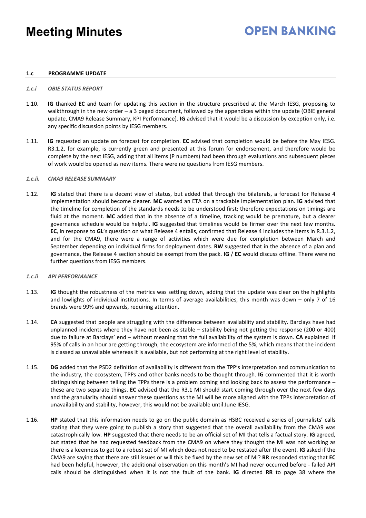## **OPEN BANKING**

#### **1.c PROGRAMME UPDATE**

#### *1.c.i OBIE STATUS REPORT*

- 1.10. **IG** thanked **EC** and team for updating this section in the structure prescribed at the March IESG, proposing to walkthrough in the new order – a 3 paged document, followed by the appendices within the update (OBIE general update, CMA9 Release Summary, KPI Performance). **IG** advised that it would be a discussion by exception only, i.e. any specific discussion points by IESG members.
- 1.11. **IG** requested an update on forecast for completion. **EC** advised that completion would be before the May IESG. R3.1.2, for example, is currently green and presented at this forum for endorsement, and therefore would be complete by the next IESG, adding that all items (P numbers) had been through evaluations and subsequent pieces of work would be opened as new items. There were no questions from IESG members.

#### *1.c.ii. CMA9 RELEASE SUMMARY*

1.12. **IG** stated that there is a decent view of status, but added that through the bilaterals, a forecast for Release 4 implementation should become clearer. **MC** wanted an ETA on a trackable implementation plan. **IG** advised that the timeline for completion of the standards needs to be understood first; therefore expectations on timings are fluid at the moment. **MC** added that in the absence of a timeline, tracking would be premature, but a clearer governance schedule would be helpful. **IG** suggested that timelines would be firmer over the next few months. **EC**, in response to **GL**'s question on what Release 4 entails, confirmed that Release 4 includes the items in R.3.1.2, and for the CMA9, there were a range of activities which were due for completion between March and September depending on individual firms for deployment dates. **RW** suggested that in the absence of a plan and governance, the Release 4 section should be exempt from the pack. **IG** / **EC** would discuss offline. There were no further questions from IESG members.

### *1.c.ii API PERFORMANCE*

- 1.13. **IG** thought the robustness of the metrics was settling down, adding that the update was clear on the highlights and lowlights of individual institutions. In terms of average availabilities, this month was down – only 7 of 16 brands were 99% and upwards, requiring attention.
- 1.14. **CA** suggested that people are struggling with the difference between availability and stability. Barclays have had unplanned incidents where they have not been as stable – stability being not getting the response (200 or 400) due to failure at Barclays' end – without meaning that the full availability of the system is down. **CA** explained if 95% of calls in an hour are getting through, the ecosystem are informed of the 5%, which means that the incident is classed as unavailable whereas it is available, but not performing at the right level of stability.
- 1.15. **DG** added that the PSD2 definition of availability is different from the TPP's interpretation and communication to the industry, the ecosystem, TPPs and other banks needs to be thought through. **IG** commented that it is worth distinguishing between telling the TPPs there is a problem coming and looking back to assess the performance – these are two separate things. **EC** advised that the R3.1 MI should start coming through over the next few days and the granularity should answer these questions as the MI will be more aligned with the TPPs interpretation of unavailability and stability, however, this would not be available until June IESG.
- 1.16. **HP** stated that this information needs to go on the public domain as HSBC received a series of journalists' calls stating that they were going to publish a story that suggested that the overall availability from the CMA9 was catastrophically low. **HP** suggested that there needs to be an official set of MI that tells a factual story. **IG** agreed, but stated that he had requested feedback from the CMA9 on where they thought the MI was not working as there is a keenness to get to a robust set of MI which does not need to be restated after the event. **IG** asked if the CMA9 are saying that there are still issues or will this be fixed by the new set of MI? **RR** responded stating that **EC** had been helpful, however, the additional observation on this month's MI had never occurred before - failed API calls should be distinguished when it is not the fault of the bank. **IG** directed **RR** to page 38 where the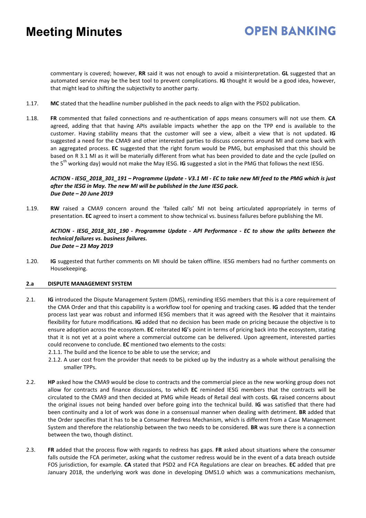## **OPEN BANKING**

commentary is covered; however, **RR** said it was not enough to avoid a misinterpretation. **GL** suggested that an automated service may be the best tool to prevent complications. **IG** thought it would be a good idea, however, that might lead to shifting the subjectivity to another party.

- 1.17. **MC** stated that the headline number published in the pack needs to align with the PSD2 publication.
- 1.18. **FR** commented that failed connections and re-authentication of apps means consumers will not use them. **CA** agreed, adding that that having APIs available impacts whether the app on the TPP end is available to the customer. Having stability means that the customer will see a view, albeit a view that is not updated. **IG** suggested a need for the CMA9 and other interested parties to discuss concerns around MI and come back with an aggregated process. **EC** suggested that the right forum would be PMG, but emphasised that this should be based on R 3.1 MI as it will be materially different from what has been provided to date and the cycle (pulled on the 5th working day) would not make the May IESG. **IG** suggested a slot in the PMG that follows the next IESG.

### *ACTION - IESG\_2018\_301\_191 – Programme Update - V3.1 MI - EC to take new MI feed to the PMG which is just after the IESG in May. The new MI will be published in the June IESG pack. Due Date – 20 June 2019*

1.19. **RW** raised a CMA9 concern around the 'failed calls' MI not being articulated appropriately in terms of presentation. **EC** agreed to insert a comment to show technical vs. business failures before publishing the MI.

### *ACTION - IESG\_2018\_301\_190 - Programme Update - API Performance - EC to show the splits between the technical failures vs. business failures. Due Date – 23 May 2019*

1.20. **IG** suggested that further comments on MI should be taken offline. IESG members had no further comments on Housekeeping.

### **2.a DISPUTE MANAGEMENT SYSTEM**

- 2.1. **IG** introduced the Dispute Management System (DMS), reminding IESG members that this is a core requirement of the CMA Order and that this capability is a workflow tool for opening and tracking cases. **IG** added that the tender process last year was robust and informed IESG members that it was agreed with the Resolver that it maintains flexibility for future modifications. **IG** added that no decision has been made on pricing because the objective is to ensure adoption across the ecosystem. **EC** reiterated **IG**'s point in terms of pricing back into the ecosystem, stating that it is not yet at a point where a commercial outcome can be delivered. Upon agreement, interested parties could reconvene to conclude. **EC** mentioned two elements to the costs:
	- 2.1.1. The build and the licence to be able to use the service; and
	- 2.1.2. A user cost from the provider that needs to be picked up by the industry as a whole without penalising the smaller TPPs.
- 2.2. **HP** asked how the CMA9 would be close to contracts and the commercial piece as the new working group does not allow for contracts and finance discussions, to which **EC** reminded IESG members that the contracts will be circulated to the CMA9 and then decided at PMG while Heads of Retail deal with costs. **GL** raised concerns about the original issues not being handed over before going into the technical build. **IG** was satisfied that there had been continuity and a lot of work was done in a consensual manner when dealing with detriment. **BR** added that the Order specifies that it has to be a Consumer Redress Mechanism, which is different from a Case Management System and therefore the relationship between the two needs to be considered. **BR** was sure there is a connection between the two, though distinct.
- 2.3. **FR** added that the process flow with regards to redress has gaps. **FR** asked about situations where the consumer falls outside the FCA perimeter, asking what the customer redress would be in the event of a data breach outside FOS jurisdiction, for example. **CA** stated that PSD2 and FCA Regulations are clear on breaches. **EC** added that pre January 2018, the underlying work was done in developing DMS1.0 which was a communications mechanism,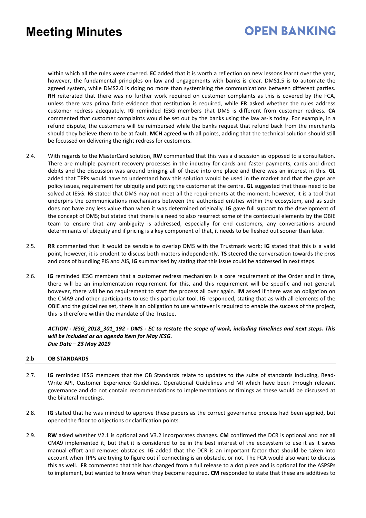## **OPEN BANKING**

within which all the rules were covered. **EC** added that it is worth a reflection on new lessons learnt over the year, however, the fundamental principles on law and engagements with banks is clear. DMS1.5 is to automate the agreed system, while DMS2.0 is doing no more than systemising the communications between different parties. **RH** reiterated that there was no further work required on customer complaints as this is covered by the FCA, unless there was prima facie evidence that restitution is required, while **FR** asked whether the rules address customer redress adequately. **IG** reminded IESG members that DMS is different from customer redress. **CA** commented that customer complaints would be set out by the banks using the law as-is today. For example, in a refund dispute, the customers will be reimbursed while the banks request that refund back from the merchants should they believe them to be at fault. **MCH** agreed with all points, adding that the technical solution should still be focussed on delivering the right redress for customers.

- 2.4. With regards to the MasterCard solution, **RW** commented that this was a discussion as opposed to a consultation. There are multiple payment recovery processes in the industry for cards and faster payments, cards and direct debits and the discussion was around bringing all of these into one place and there was an interest in this. **GL** added that TPPs would have to understand how this solution would be used in the market and that the gaps are policy issues, requirement for ubiquity and putting the customer at the centre. **GL** suggested that these need to be solved at IESG. **IG** stated that DMS may not meet all the requirements at the moment; however, it is a tool that underpins the communications mechanisms between the authorised entities within the ecosystem, and as such does not have any less value than when it was determined originally. **IG** gave full support to the development of the concept of DMS; but stated that there is a need to also resurrect some of the contextual elements by the OBIE team to ensure that any ambiguity is addressed, especially for end customers, any conversations around determinants of ubiquity and if pricing is a key component of that, it needs to be fleshed out sooner than later.
- 2.5. **RR** commented that it would be sensible to overlap DMS with the Trustmark work; **IG** stated that this is a valid point, however, it is prudent to discuss both matters independently. **TS** steered the conversation towards the pros and cons of bundling PIS and AIS, **IG** summarised by stating that this issue could be addressed in next steps.
- 2.6. **IG** reminded IESG members that a customer redress mechanism is a core requirement of the Order and in time, there will be an implementation requirement for this, and this requirement will be specific and not general, however, there will be no requirement to start the process all over again. **IM** asked if there was an obligation on the CMA9 and other participants to use this particular tool. **IG** responded, stating that as with all elements of the OBIE and the guidelines set, there is an obligation to use whatever is required to enable the success of the project, this is therefore within the mandate of the Trustee.

*ACTION - IESG\_2018\_301\_192 - DMS - EC to restate the scope of work, including timelines and next steps. This will be included as an agenda item for May IESG. Due Date – 23 May 2019* 

### **2.b OB STANDARDS**

- 2.7. **IG** reminded IESG members that the OB Standards relate to updates to the suite of standards including, Read-Write API, Customer Experience Guidelines, Operational Guidelines and MI which have been through relevant governance and do not contain recommendations to implementations or timings as these would be discussed at the bilateral meetings.
- 2.8. **IG** stated that he was minded to approve these papers as the correct governance process had been applied, but opened the floor to objections or clarification points.
- 2.9. **RW** asked whether V2.1 is optional and V3.2 incorporates changes. **CM** confirmed the DCR is optional and not all CMA9 implemented it, but that it is considered to be in the best interest of the ecosystem to use it as it saves manual effort and removes obstacles. **IG** added that the DCR is an important factor that should be taken into account when TPPs are trying to figure out if connecting is an obstacle, or not. The FCA would also want to discuss this as well. **FR** commented that this has changed from a full release to a dot piece and is optional for the ASPSPs to implement, but wanted to know when they become required. **CM** responded to state that these are additives to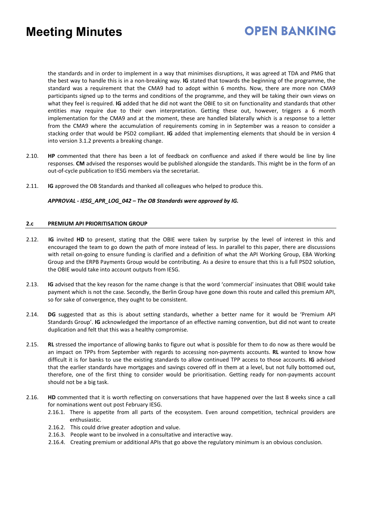## **OPEN BANKING**

the standards and in order to implement in a way that minimises disruptions, it was agreed at TDA and PMG that the best way to handle this is in a non-breaking way. **IG** stated that towards the beginning of the programme, the standard was a requirement that the CMA9 had to adopt within 6 months. Now, there are more non CMA9 participants signed up to the terms and conditions of the programme, and they will be taking their own views on what they feel is required. **IG** added that he did not want the OBIE to sit on functionality and standards that other entities may require due to their own interpretation. Getting these out, however, triggers a 6 month implementation for the CMA9 and at the moment, these are handled bilaterally which is a response to a letter from the CMA9 where the accumulation of requirements coming in in September was a reason to consider a stacking order that would be PSD2 compliant. **IG** added that implementing elements that should be in version 4 into version 3.1.2 prevents a breaking change.

- 2.10. **HP** commented that there has been a lot of feedback on confluence and asked if there would be line by line responses. **CM** advised the responses would be published alongside the standards. This might be in the form of an out-of-cycle publication to IESG members via the secretariat.
- 2.11. **IG** approved the OB Standards and thanked all colleagues who helped to produce this.

### *APPROVAL - IESG\_APR\_LOG\_042 – The OB Standards were approved by IG.*

### **2.c PREMIUM API PRIORITISATION GROUP**

- 2.12. **IG** invited **HD** to present, stating that the OBIE were taken by surprise by the level of interest in this and encouraged the team to go down the path of more instead of less. In parallel to this paper, there are discussions with retail on-going to ensure funding is clarified and a definition of what the API Working Group, EBA Working Group and the ERPB Payments Group would be contributing. As a desire to ensure that this is a full PSD2 solution, the OBIE would take into account outputs from IESG.
- 2.13. **IG** advised that the key reason for the name change is that the word 'commercial' insinuates that OBIE would take payment which is not the case. Secondly, the Berlin Group have gone down this route and called this premium API, so for sake of convergence, they ought to be consistent.
- 2.14. **DG** suggested that as this is about setting standards, whether a better name for it would be 'Premium API Standards Group'. **IG** acknowledged the importance of an effective naming convention, but did not want to create duplication and felt that this was a healthy compromise.
- 2.15. **RL** stressed the importance of allowing banks to figure out what is possible for them to do now as there would be an impact on TPPs from September with regards to accessing non-payments accounts. **RL** wanted to know how difficult it is for banks to use the existing standards to allow continued TPP access to those accounts. **IG** advised that the earlier standards have mortgages and savings covered off in them at a level, but not fully bottomed out, therefore, one of the first thing to consider would be prioritisation. Getting ready for non-payments account should not be a big task.
- 2.16. **HD** commented that it is worth reflecting on conversations that have happened over the last 8 weeks since a call for nominations went out post February IESG.
	- 2.16.1. There is appetite from all parts of the ecosystem. Even around competition, technical providers are enthusiastic.
	- 2.16.2. This could drive greater adoption and value.
	- 2.16.3. People want to be involved in a consultative and interactive way.
	- 2.16.4. Creating premium or additional APIs that go above the regulatory minimum is an obvious conclusion.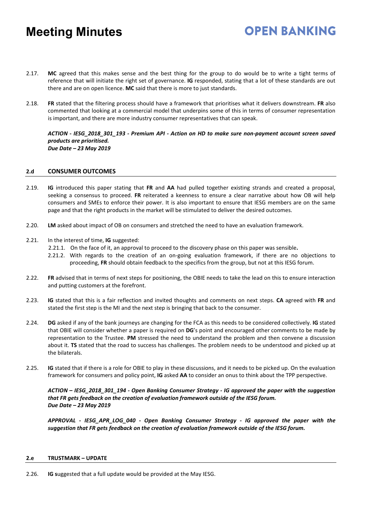2.17. **MC** agreed that this makes sense and the best thing for the group to do would be to write a tight terms of reference that will initiate the right set of governance. **IG** responded, stating that a lot of these standards are out there and are on open licence. **MC** said that there is more to just standards.

**OPEN RANKING** 

2.18. **FR** stated that the filtering process should have a framework that prioritises what it delivers downstream. **FR** also commented that looking at a commercial model that underpins some of this in terms of consumer representation is important, and there are more industry consumer representatives that can speak.

*ACTION - IESG\_2018\_301\_193 - Premium API - Action on HD to make sure non-payment account screen saved products are prioritised. Due Date – 23 May 2019* 

### **2.d CONSUMER OUTCOMES**

- 2.19. **IG** introduced this paper stating that **FR** and **AA** had pulled together existing strands and created a proposal, seeking a consensus to proceed. **FR** reiterated a keenness to ensure a clear narrative about how OB will help consumers and SMEs to enforce their power. It is also important to ensure that IESG members are on the same page and that the right products in the market will be stimulated to deliver the desired outcomes.
- 2.20. **LM** asked about impact of OB on consumers and stretched the need to have an evaluation framework.
- 2.21. In the interest of time, **IG** suggested:
	- 2.21.1. On the face of it, an approval to proceed to the discovery phase on this paper was sensible**.**
	- 2.21.2. With regards to the creation of an on-going evaluation framework, if there are no objections to proceeding, **FR** should obtain feedback to the specifics from the group, but not at this IESG forum.
- 2.22. **FR** advised that in terms of next steps for positioning, the OBIE needs to take the lead on this to ensure interaction and putting customers at the forefront.
- 2.23. **IG** stated that this is a fair reflection and invited thoughts and comments on next steps. **CA** agreed with **FR** and stated the first step is the MI and the next step is bringing that back to the consumer.
- 2.24. **DG** asked if any of the bank journeys are changing for the FCA as this needs to be considered collectively. **IG** stated that OBIE will consider whether a paper is required on **DG**'s point and encouraged other comments to be made by representation to the Trustee. **PM** stressed the need to understand the problem and then convene a discussion about it. **TS** stated that the road to success has challenges. The problem needs to be understood and picked up at the bilaterals.
- 2.25. **IG** stated that if there is a role for OBIE to play in these discussions, and it needs to be picked up. On the evaluation framework for consumers and policy point, **IG** asked **AA** to consider an onus to think about the TPP perspective.

*ACTION – IESG\_2018\_301\_194 - Open Banking Consumer Strategy - IG approved the paper with the suggestion that FR gets feedback on the creation of evaluation framework outside of the IESG forum. Due Date – 23 May 2019* 

*APPROVAL - IESG\_APR\_LOG\_040 - Open Banking Consumer Strategy - IG approved the paper with the suggestion that FR gets feedback on the creation of evaluation framework outside of the IESG forum.*

#### **2.e TRUSTMARK – UPDATE**

2.26. **IG s**uggested that a full update would be provided at the May IESG.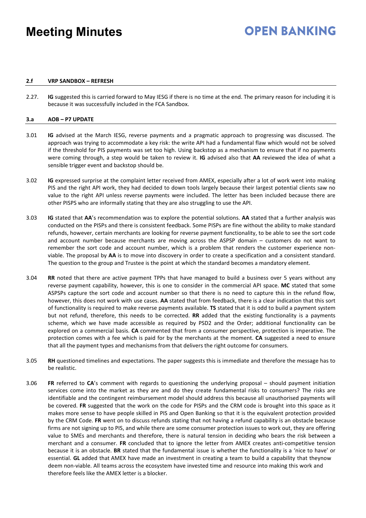## **OPEN BANKING**

#### **2.f VRP SANDBOX – REFRESH**

2.27. **IG** suggested this is carried forward to May IESG if there is no time at the end. The primary reason for including it is because it was successfully included in the FCA Sandbox.

#### **3.a AOB – P7 UPDATE**

- 3.01 **IG** advised at the March IESG, reverse payments and a pragmatic approach to progressing was discussed. The approach was trying to accommodate a key risk: the write API had a fundamental flaw which would not be solved if the threshold for PIS payments was set too high. Using backstop as a mechanism to ensure that if no payments were coming through, a step would be taken to review it. **IG** advised also that **AA** reviewed the idea of what a sensible trigger event and backstop should be.
- 3.02 **IG** expressed surprise at the complaint letter received from AMEX, especially after a lot of work went into making PIS and the right API work, they had decided to down tools largely because their largest potential clients saw no value to the right API unless reverse payments were included. The letter has been included because there are other PISPS who are informally stating that they are also struggling to use the API.
- 3.03 **IG** stated that **AA**'s recommendation was to explore the potential solutions. **AA** stated that a further analysis was conducted on the PISPs and there is consistent feedback. Some PISPs are fine without the ability to make standard refunds, however, certain merchants are looking for reverse payment functionality, to be able to see the sort code and account number because merchants are moving across the ASPSP domain – customers do not want to remember the sort code and account number, which is a problem that renders the customer experience nonviable. The proposal by **AA** is to move into discovery in order to create a specification and a consistent standard. The question to the group and Trustee is the point at which the standard becomes a mandatory element.
- 3.04 **RR** noted that there are active payment TPPs that have managed to build a business over 5 years without any reverse payment capability, however, this is one to consider in the commercial API space. **MC** stated that some ASPSPs capture the sort code and account number so that there is no need to capture this in the refund flow, however, this does not work with use cases. **AA** stated that from feedback, there is a clear indication that this sort of functionality is required to make reverse payments available. **TS** stated that it is odd to build a payment system but not refund, therefore, this needs to be corrected. **RR** added that the existing functionality is a payments scheme, which we have made accessible as required by PSD2 and the Order; additional functionality can be explored on a commercial basis. **CA** commented that from a consumer perspective, protection is imperative. The protection comes with a fee which is paid for by the merchants at the moment. **CA** suggested a need to ensure that all the payment types and mechanisms from that delivers the right outcome for consumers.
- 3.05 **RH** questioned timelines and expectations. The paper suggests this is immediate and therefore the message has to be realistic.
- 3.06 **FR** referred to **CA**'s comment with regards to questioning the underlying proposal – should payment initiation services come into the market as they are and do they create fundamental risks to consumers? The risks are identifiable and the contingent reimbursement model should address this because all unauthorised payments will be covered. **FR** suggested that the work on the code for PISPs and the CRM code is brought into this space as it makes more sense to have people skilled in PIS and Open Banking so that it is the equivalent protection provided by the CRM Code. **FR** went on to discuss refunds stating that not having a refund capability is an obstacle because firms are not signing up to PIS, and while there are some consumer protection issues to work out, they are offering value to SMEs and merchants and therefore, there is natural tension in deciding who bears the risk between a merchant and a consumer. **FR** concluded that to ignore the letter from AMEX creates anti-competitive tension because it is an obstacle. **BR** stated that the fundamental issue is whether the functionality is a 'nice to have' or essential. **GL** added that AMEX have made an investment in creating a team to build a capability that theynow deem non-viable. All teams across the ecosystem have invested time and resource into making this work and therefore feels like the AMEX letter is a blocker.